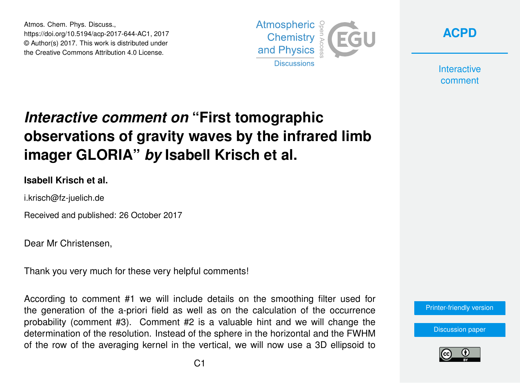Atmos. Chem. Phys. Discuss., https://doi.org/10.5194/acp-2017-644-AC1, 2017 © Author(s) 2017. This work is distributed under the Creative Commons Attribution 4.0 License.





**Interactive** comment

## *Interactive comment on* **"First tomographic observations of gravity waves by the infrared limb imager GLORIA"** *by* **Isabell Krisch et al.**

## **Isabell Krisch et al.**

i.krisch@fz-juelich.de

Received and published: 26 October 2017

Dear Mr Christensen,

Thank you very much for these very helpful comments!

According to comment #1 we will include details on the smoothing filter used for the generation of the a-priori field as well as on the calculation of the occurrence probability (comment #3). Comment #2 is a valuable hint and we will change the determination of the resolution. Instead of the sphere in the horizontal and the FWHM of the row of the averaging kernel in the vertical, we will now use a 3D ellipsoid to



[Discussion paper](https://www.atmos-chem-phys-discuss.net/acp-2017-644)

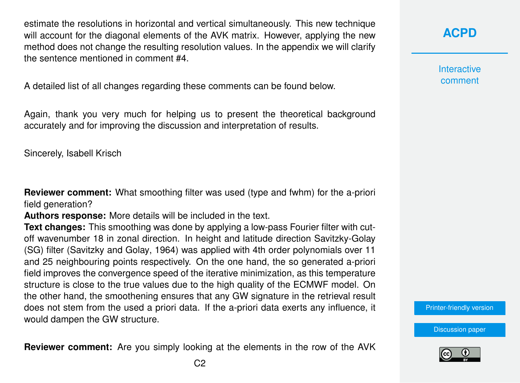estimate the resolutions in horizontal and vertical simultaneously. This new technique will account for the diagonal elements of the AVK matrix. However, applying the new method does not change the resulting resolution values. In the appendix we will clarify the sentence mentioned in comment #4.

A detailed list of all changes regarding these comments can be found below.

Again, thank you very much for helping us to present the theoretical background accurately and for improving the discussion and interpretation of results.

Sincerely, Isabell Krisch

**Reviewer comment:** What smoothing filter was used (type and fwhm) for the a-priori field generation?

**Authors response:** More details will be included in the text.

**Text changes:** This smoothing was done by applying a low-pass Fourier filter with cutoff wavenumber 18 in zonal direction. In height and latitude direction Savitzky-Golay (SG) filter [\(Savitzky and Golay,](#page-3-0) [1964\)](#page-3-0) was applied with 4th order polynomials over 11 and 25 neighbouring points respectively. On the one hand, the so generated a-priori field improves the convergence speed of the iterative minimization, as this temperature structure is close to the true values due to the high quality of the ECMWF model. On the other hand, the smoothening ensures that any GW signature in the retrieval result does not stem from the used a priori data. If the a-priori data exerts any influence, it would dampen the GW structure.

**Reviewer comment:** Are you simply looking at the elements in the row of the AVK

**[ACPD](https://www.atmos-chem-phys-discuss.net/)**

**Interactive** comment

[Printer-friendly version](https://www.atmos-chem-phys-discuss.net/acp-2017-644/acp-2017-644-AC1-print.pdf)

[Discussion paper](https://www.atmos-chem-phys-discuss.net/acp-2017-644)

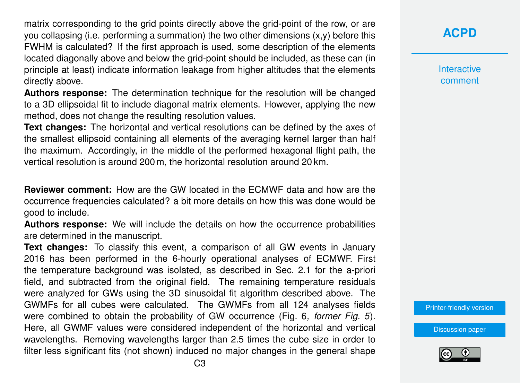matrix corresponding to the grid points directly above the grid-point of the row, or are you collapsing (i.e. performing a summation) the two other dimensions (x,y) before this FWHM is calculated? If the first approach is used, some description of the elements located diagonally above and below the grid-point should be included, as these can (in principle at least) indicate information leakage from higher altitudes that the elements directly above.

**Authors response:** The determination technique for the resolution will be changed to a 3D ellipsoidal fit to include diagonal matrix elements. However, applying the new method, does not change the resulting resolution values.

**Text changes:** The horizontal and vertical resolutions can be defined by the axes of the smallest ellipsoid containing all elements of the averaging kernel larger than half the maximum. Accordingly, in the middle of the performed hexagonal flight path, the vertical resolution is around 200 m, the horizontal resolution around 20 km.

**Reviewer comment:** How are the GW located in the ECMWF data and how are the occurrence frequencies calculated? a bit more details on how this was done would be good to include.

**Authors response:** We will include the details on how the occurrence probabilities are determined in the manuscript.

**Text changes:** To classify this event, a comparison of all GW events in January 2016 has been performed in the 6-hourly operational analyses of ECMWF. First the temperature background was isolated, as described in Sec. 2.1 for the a-priori field, and subtracted from the original field. The remaining temperature residuals were analyzed for GWs using the 3D sinusoidal fit algorithm described above. The GWMFs for all cubes were calculated. The GWMFs from all 124 analyses fields were combined to obtain the probability of GW occurrence (Fig. 6*, former Fig. 5*). Here, all GWMF values were considered independent of the horizontal and vertical wavelengths. Removing wavelengths larger than 2.5 times the cube size in order to filter less significant fits (not shown) induced no major changes in the general shape

**[ACPD](https://www.atmos-chem-phys-discuss.net/)**

**Interactive** comment

[Printer-friendly version](https://www.atmos-chem-phys-discuss.net/acp-2017-644/acp-2017-644-AC1-print.pdf)

[Discussion paper](https://www.atmos-chem-phys-discuss.net/acp-2017-644)